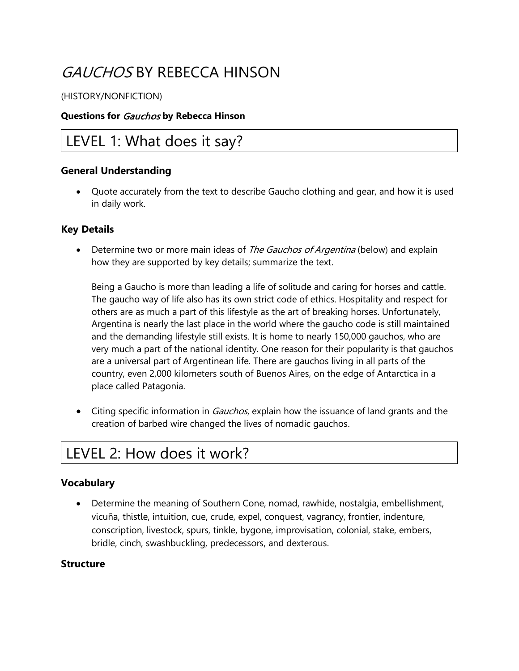# GAUCHOS BY REBECCA HINSON

#### (HISTORY/NONFICTION)

#### **Questions for** Gauchos **by Rebecca Hinson**

### LEVEL 1: What does it say?

#### **General Understanding**

• Quote accurately from the text to describe Gaucho clothing and gear, and how it is used in daily work.

#### **Key Details**

Determine two or more main ideas of The Gauchos of Argentina (below) and explain how they are supported by key details; summarize the text.

Being a Gaucho is more than leading a life of solitude and caring for horses and cattle. The gaucho way of life also has its own strict code of ethics. Hospitality and respect for others are as much a part of this lifestyle as the art of breaking horses. Unfortunately, Argentina is nearly the last place in the world where the gaucho code is still maintained and the demanding lifestyle still exists. It is home to nearly 150,000 gauchos, who are very much a part of the national identity. One reason for their popularity is that gauchos are a universal part of Argentinean life. There are gauchos living in all parts of the country, even 2,000 kilometers south of Buenos Aires, on the edge of Antarctica in a place called Patagonia.

• Citing specific information in *Gauchos*, explain how the issuance of land grants and the creation of barbed wire changed the lives of nomadic gauchos.

### LEVEL 2: How does it work?

#### **Vocabulary**

• Determine the meaning of Southern Cone, nomad, rawhide, nostalgia, embellishment, vicuña, thistle, intuition, cue, crude, expel, conquest, vagrancy, frontier, indenture, conscription, livestock, spurs, tinkle, bygone, improvisation, colonial, stake, embers, bridle, cinch, swashbuckling, predecessors, and dexterous.

#### **Structure**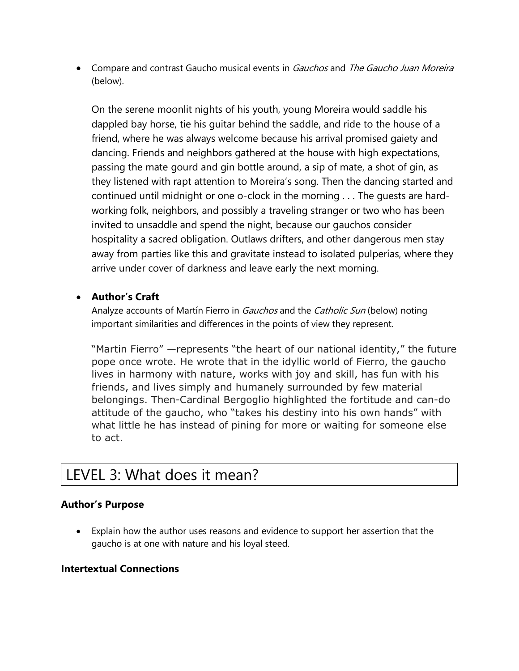• Compare and contrast Gaucho musical events in Gauchos and The Gaucho Juan Moreira (below).

On the serene moonlit nights of his youth, young Moreira would saddle his dappled bay horse, tie his guitar behind the saddle, and ride to the house of a friend, where he was always welcome because his arrival promised gaiety and dancing. Friends and neighbors gathered at the house with high expectations, passing the mate gourd and gin bottle around, a sip of mate, a shot of gin, as they listened with rapt attention to Moreira's song. Then the dancing started and continued until midnight or one o-clock in the morning . . . The guests are hardworking folk, neighbors, and possibly a traveling stranger or two who has been invited to unsaddle and spend the night, because our gauchos consider hospitality a sacred obligation. Outlaws drifters, and other dangerous men stay away from parties like this and gravitate instead to isolated pulperías, where they arrive under cover of darkness and leave early the next morning.

#### • **Author's Craft**

Analyze accounts of Martín Fierro in *Gauchos* and the *Catholic Sun* (below) noting important similarities and differences in the points of view they represent.

"Martin Fierro" —represents "the heart of our national identity," the future pope once wrote. He wrote that in the idyllic world of Fierro, the gaucho lives in harmony with nature, works with joy and skill, has fun with his friends, and lives simply and humanely surrounded by few material belongings. Then-Cardinal Bergoglio highlighted the fortitude and can-do attitude of the gaucho, who "takes his destiny into his own hands" with what little he has instead of pining for more or waiting for someone else to act.

## LEVEL 3: What does it mean?

#### **Author's Purpose**

• Explain how the author uses reasons and evidence to support her assertion that the gaucho is at one with nature and his loyal steed.

#### **Intertextual Connections**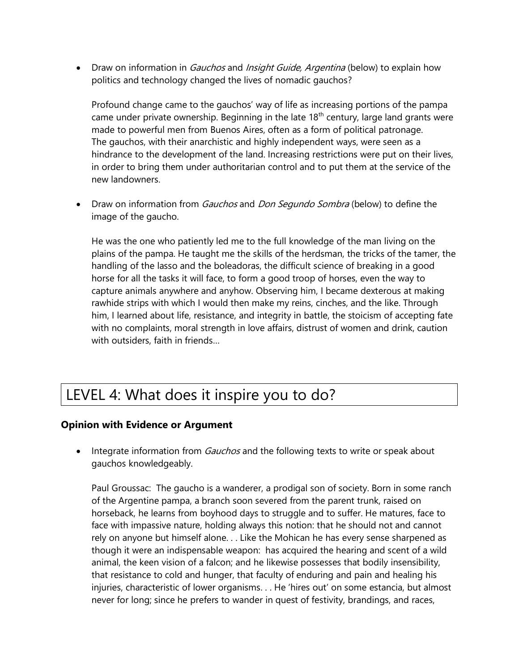• Draw on information in *Gauchos* and *Insight Guide, Argentina* (below) to explain how politics and technology changed the lives of nomadic gauchos?

Profound change came to the gauchos' way of life as increasing portions of the pampa came under private ownership. Beginning in the late  $18<sup>th</sup>$  century, large land grants were made to powerful men from Buenos Aires, often as a form of political patronage. The gauchos, with their anarchistic and highly independent ways, were seen as a hindrance to the development of the land. Increasing restrictions were put on their lives, in order to bring them under authoritarian control and to put them at the service of the new landowners.

• Draw on information from *Gauchos* and *Don Segundo Sombra* (below) to define the image of the gaucho.

He was the one who patiently led me to the full knowledge of the man living on the plains of the pampa. He taught me the skills of the herdsman, the tricks of the tamer, the handling of the lasso and the boleadoras, the difficult science of breaking in a good horse for all the tasks it will face, to form a good troop of horses, even the way to capture animals anywhere and anyhow. Observing him, I became dexterous at making rawhide strips with which I would then make my reins, cinches, and the like. Through him, I learned about life, resistance, and integrity in battle, the stoicism of accepting fate with no complaints, moral strength in love affairs, distrust of women and drink, caution with outsiders, faith in friends…

## LEVEL 4: What does it inspire you to do?

#### **Opinion with Evidence or Argument**

• Integrate information from *Gauchos* and the following texts to write or speak about gauchos knowledgeably.

Paul Groussac: The gaucho is a wanderer, a prodigal son of society. Born in some ranch of the Argentine pampa, a branch soon severed from the parent trunk, raised on horseback, he learns from boyhood days to struggle and to suffer. He matures, face to face with impassive nature, holding always this notion: that he should not and cannot rely on anyone but himself alone. . . Like the Mohican he has every sense sharpened as though it were an indispensable weapon: has acquired the hearing and scent of a wild animal, the keen vision of a falcon; and he likewise possesses that bodily insensibility, that resistance to cold and hunger, that faculty of enduring and pain and healing his injuries, characteristic of lower organisms. . . He 'hires out' on some estancia, but almost never for long; since he prefers to wander in quest of festivity, brandings, and races,